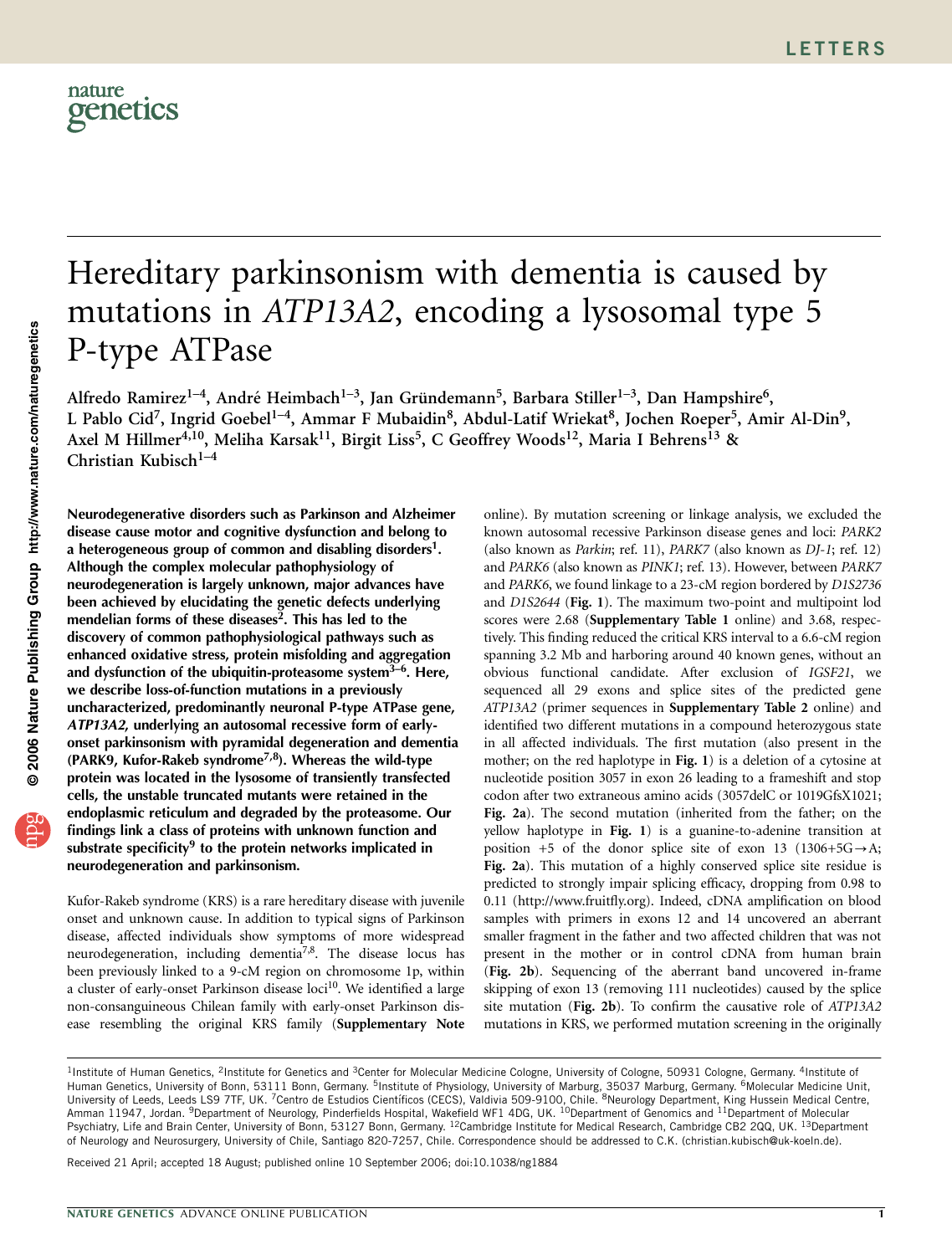

# Hereditary parkinsonism with dementia is caused by mutations in ATP13A2, encoding a lysosomal type 5 P-type ATPase

Alfredo Ramirez<sup>1-4</sup>, André Heimbach<sup>1-3</sup>, Jan Gründemann<sup>5</sup>, Barbara Stiller<sup>1-3</sup>, Dan Hampshire<sup>6</sup>, L Pablo Cid<sup>7</sup>, Ingrid Goebel<sup>1-4</sup>, Ammar F Mubaidin<sup>8</sup>, Abdul-Latif Wriekat<sup>8</sup>, Jochen Roeper<sup>5</sup>, Amir Al-Din<sup>9</sup>, Axel M Hillmer<sup>4,10</sup>, Meliha Karsak<sup>11</sup>, Birgit Liss<sup>5</sup>, C Geoffrey Woods<sup>12</sup>, Maria I Behrens<sup>13</sup> & Christian Kubisch $1-4$ 

Neurodegenerative disorders such as Parkinson and Alzheimer disease cause motor and cognitive dysfunction and belong to a heterogeneous group of common and disabling disorders<sup>1</sup>. Although the complex molecular pathophysiology of neurodegeneration is largely unknown, major advances have been achieved by elucidating the genetic defects underlying mendelian forms of these diseases<sup>2</sup>. This has led to the discovery of common pathophysiological pathways such as enhanced oxidative stress, protein misfolding and aggregation and dysfunction of the ubiquitin-proteasome system<sup>3–6</sup>. Here, we describe loss-of-function mutations in a previously uncharacterized, predominantly neuronal P-type ATPase gene, ATP13A2, underlying an autosomal recessive form of earlyonset parkinsonism with pyramidal degeneration and dementia (PARK9, Kufor-Rakeb syndrome<sup>7,8</sup>). Whereas the wild-type protein was located in the lysosome of transiently transfected cells, the unstable truncated mutants were retained in the endoplasmic reticulum and degraded by the proteasome. Our findings link a class of proteins with unknown function and substrate specificity<sup>9</sup> to the protein networks implicated in neurodegeneration and parkinsonism.

Kufor-Rakeb syndrome (KRS) is a rare hereditary disease with juvenile onset and unknown cause. In addition to typical signs of Parkinson disease, affected individuals show symptoms of more widespread neurodegeneration, including dementia<sup>7,8</sup>. The disease locus has been previously linked to a 9-cM region on chromosome 1p, within a cluster of early-onset Parkinson disease loci<sup>10</sup>. We identified a large non-consanguineous Chilean family with early-onset Parkinson disease resembling the original KRS family (Supplementary Note

online). By mutation screening or linkage analysis, we excluded the known autosomal recessive Parkinson disease genes and loci: PARK2 (also known as Parkin; ref. 11), PARK7 (also known as DJ-1; ref. 12) and PARK6 (also known as PINK1; ref. 13). However, between PARK7 and PARK6, we found linkage to a 23-cM region bordered by D1S2736 and D1S2644 (Fig. 1). The maximum two-point and multipoint lod scores were 2.68 (Supplementary Table 1 online) and 3.68, respectively. This finding reduced the critical KRS interval to a 6.6-cM region spanning 3.2 Mb and harboring around 40 known genes, without an obvious functional candidate. After exclusion of IGSF21, we sequenced all 29 exons and splice sites of the predicted gene ATP13A2 (primer sequences in Supplementary Table 2 online) and identified two different mutations in a compound heterozygous state in all affected individuals. The first mutation (also present in the mother; on the red haplotype in Fig. 1) is a deletion of a cytosine at nucleotide position 3057 in exon 26 leading to a frameshift and stop codon after two extraneous amino acids (3057delC or 1019GfsX1021; Fig. 2a). The second mutation (inherited from the father; on the yellow haplotype in Fig. 1) is a guanine-to-adenine transition at position +5 of the donor splice site of exon 13 (1306+5G $\rightarrow$ A; Fig. 2a). This mutation of a highly conserved splice site residue is predicted to strongly impair splicing efficacy, dropping from 0.98 to 0.11 (http://www.fruitfly.org). Indeed, cDNA amplification on blood samples with primers in exons 12 and 14 uncovered an aberrant smaller fragment in the father and two affected children that was not present in the mother or in control cDNA from human brain (Fig. 2b). Sequencing of the aberrant band uncovered in-frame skipping of exon 13 (removing 111 nucleotides) caused by the splice site mutation (Fig. 2b). To confirm the causative role of ATP13A2 mutations in KRS, we performed mutation screening in the originally

Received 21 April; accepted 18 August; published online 10 September 2006; doi:10.1038/ng1884

<sup>&</sup>lt;sup>1</sup>Institute of Human Genetics, <sup>2</sup>Institute for Genetics and <sup>3</sup>Center for Molecular Medicine Cologne, University of Cologne, 50931 Cologne, Germany. <sup>4</sup>Institute of Human Genetics, University of Bonn, 53111 Bonn, Germany. <sup>5</sup>Institute of Physiology, University of Marburg, 35037 Marburg, Germany. <sup>6</sup>Molecular Medicine Unit, University of Leeds, Leeds LS9 7TF, UK. <sup>7</sup>Centro de Estudios Científicos (CECS), Valdivia 509-9100, Chile. <sup>8</sup>Neurology Department, King Hussein Medical Centre, Amman 11947, Jordan. <sup>9</sup>Department of Neurology, Pinderfields Hospital, Wakefield WF1 4DG, UK. <sup>10</sup>Department of Genomics and <sup>11</sup>Department of Molecular Psychiatry, Life and Brain Center, University of Bonn, 53127 Bonn, Germany. <sup>12</sup>Cambridge Institute for Medical Research, Cambridge CB2 2QQ, UK. <sup>13</sup>Department of Neurology and Neurosurgery, University of Chile, Santiago 820-7257, Chile. Correspondence should be addressed to C.K. (christian.kubisch@uk-koeln.de).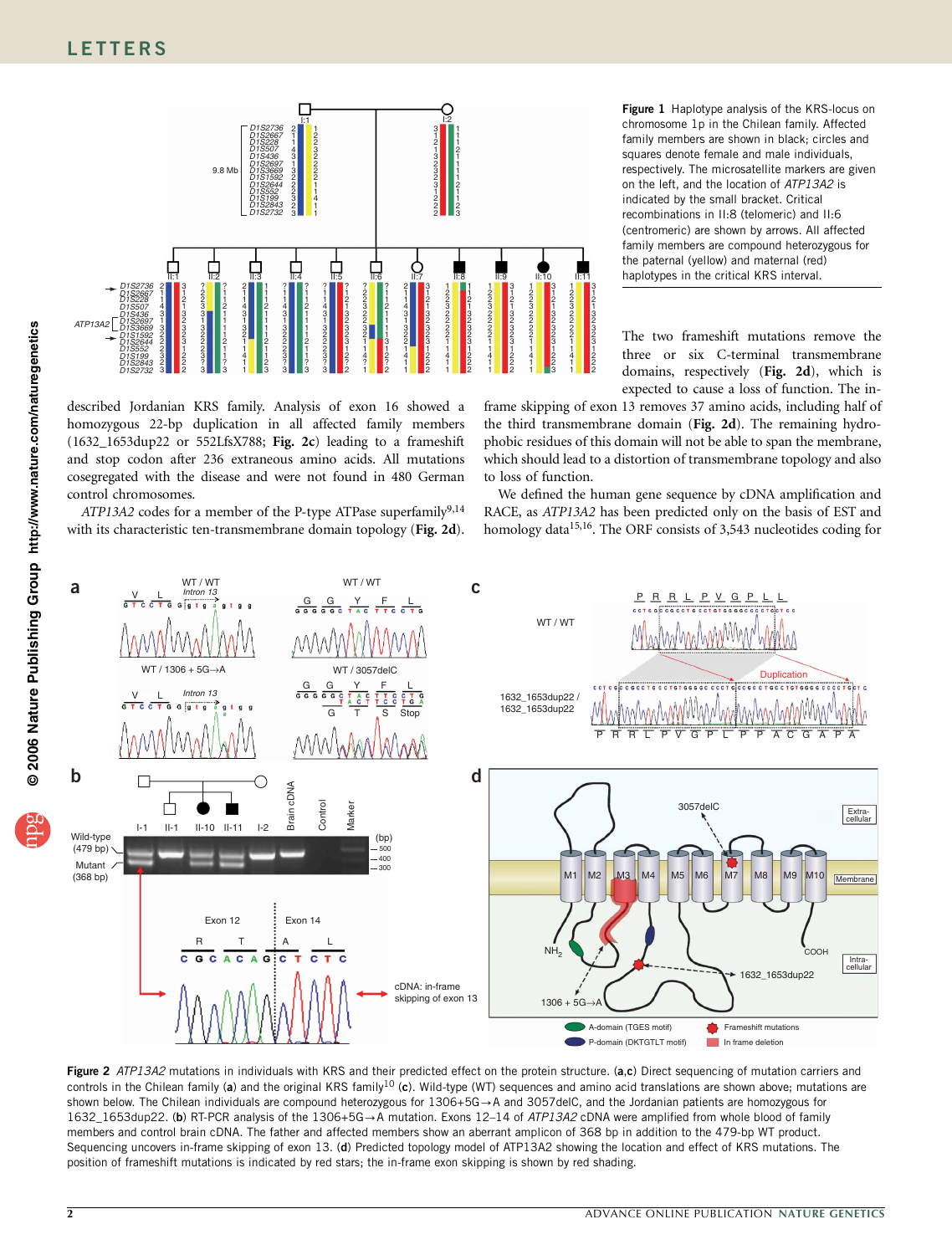

described Jordanian KRS family. Analysis of exon 16 showed a homozygous 22-bp duplication in all affected family members (1632\_1653dup22 or 552LfsX788; Fig. 2c) leading to a frameshift and stop codon after 236 extraneous amino acids. All mutations cosegregated with the disease and were not found in 480 German control chromosomes.

 $ATP13A2$  codes for a member of the P-type ATPase superfamily<sup>9,14</sup> with its characteristic ten-transmembrane domain topology (Fig. 2d). Figure 1 Haplotype analysis of the KRS-locus on chromosome 1p in the Chilean family. Affected family members are shown in black; circles and squares denote female and male individuals, respectively. The microsatellite markers are given on the left, and the location of ATP13A2 is indicated by the small bracket. Critical recombinations in II:8 (telomeric) and II:6 (centromeric) are shown by arrows. All affected family members are compound heterozygous for the paternal (yellow) and maternal (red) haplotypes in the critical KRS interval.

The two frameshift mutations remove the three or six C-terminal transmembrane domains, respectively (Fig. 2d), which is expected to cause a loss of function. The in-

frame skipping of exon 13 removes 37 amino acids, including half of the third transmembrane domain (Fig. 2d). The remaining hydrophobic residues of this domain will not be able to span the membrane, which should lead to a distortion of transmembrane topology and also to loss of function.

We defined the human gene sequence by cDNA amplification and RACE, as ATP13A2 has been predicted only on the basis of EST and homology data<sup>15,16</sup>. The ORF consists of 3,543 nucleotides coding for



Figure 2 ATP13A2 mutations in individuals with KRS and their predicted effect on the protein structure. (a,c) Direct sequencing of mutation carriers and controls in the Chilean family (a) and the original KRS family<sup>10</sup> (c). Wild-type (WT) sequences and amino acid translations are shown above; mutations are shown below. The Chilean individuals are compound heterozygous for 1306+5G→A and 3057delC, and the Jordanian patients are homozygous for 1632\_1653dup22. (b) RT-PCR analysis of the 1306+5G-A mutation. Exons 12–14 of ATP13A2 cDNA were amplified from whole blood of family members and control brain cDNA. The father and affected members show an aberrant amplicon of 368 bp in addition to the 479-bp WT product. Sequencing uncovers in-frame skipping of exon 13. (d) Predicted topology model of ATP13A2 showing the location and effect of KRS mutations. The position of frameshift mutations is indicated by red stars; the in-frame exon skipping is shown by red shading.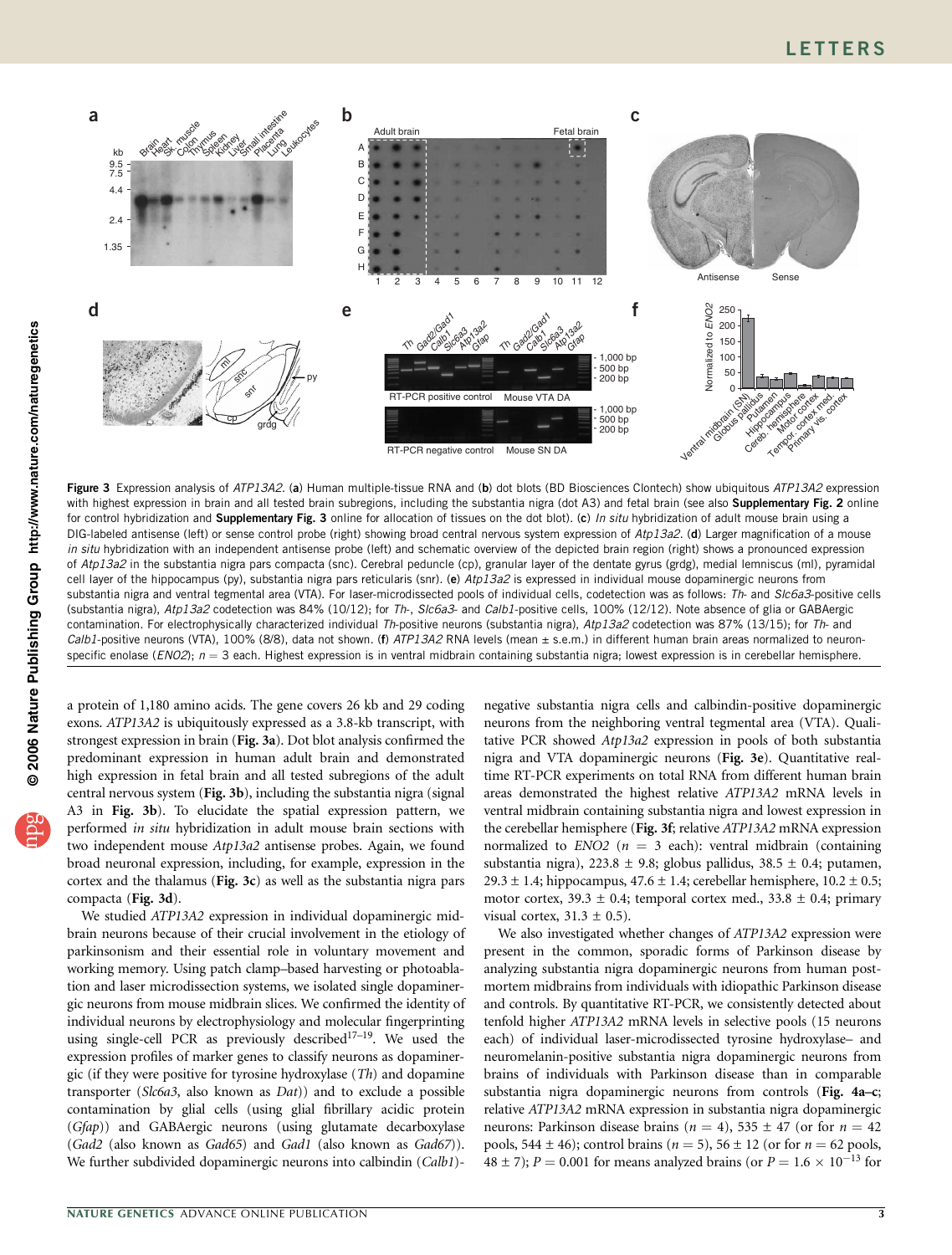

Figure 3 Expression analysis of ATP13A2. (a) Human multiple-tissue RNA and (b) dot blots (BD Biosciences Clontech) show ubiquitous ATP13A2 expression with highest expression in brain and all tested brain subregions, including the substantia nigra (dot A3) and fetal brain (see also Supplementary Fig. 2 online for control hybridization and Supplementary Fig. 3 online for allocation of tissues on the dot blot). (c) In situ hybridization of adult mouse brain using a DIG-labeled antisense (left) or sense control probe (right) showing broad central nervous system expression of Atp13a2. (d) Larger magnification of a mouse in situ hybridization with an independent antisense probe (left) and schematic overview of the depicted brain region (right) shows a pronounced expression of Atp13a2 in the substantia nigra pars compacta (snc). Cerebral peduncle (cp), granular layer of the dentate gyrus (grdg), medial lemniscus (ml), pyramidal cell layer of the hippocampus (py), substantia nigra pars reticularis (snr). (e) Atp13a2 is expressed in individual mouse dopaminergic neurons from substantia nigra and ventral tegmental area (VTA). For laser-microdissected pools of individual cells, codetection was as follows: Th- and SIc6a3-positive cells (substantia nigra), Atp13a2 codetection was 84% (10/12); for Th-, SIc6a3- and Calb1-positive cells, 100% (12/12). Note absence of glia or GABAergic contamination. For electrophysically characterized individual Th-positive neurons (substantia nigra), Atp13a2 codetection was 87% (13/15); for Th- and Calb1-positive neurons (VTA), 100% (8/8), data not shown. (f) ATP13A2 RNA levels (mean  $\pm$  s.e.m.) in different human brain areas normalized to neuronspecific enolase (*ENO2*);  $n = 3$  each. Highest expression is in ventral midbrain containing substantia nigra; lowest expression is in cerebellar hemisphere.

a protein of 1,180 amino acids. The gene covers 26 kb and 29 coding exons. ATP13A2 is ubiquitously expressed as a 3.8-kb transcript, with strongest expression in brain (Fig. 3a). Dot blot analysis confirmed the predominant expression in human adult brain and demonstrated high expression in fetal brain and all tested subregions of the adult central nervous system (Fig. 3b), including the substantia nigra (signal A3 in Fig. 3b). To elucidate the spatial expression pattern, we performed in situ hybridization in adult mouse brain sections with two independent mouse Atp13a2 antisense probes. Again, we found broad neuronal expression, including, for example, expression in the cortex and the thalamus (Fig. 3c) as well as the substantia nigra pars compacta (Fig. 3d).

We studied ATP13A2 expression in individual dopaminergic midbrain neurons because of their crucial involvement in the etiology of parkinsonism and their essential role in voluntary movement and working memory. Using patch clamp–based harvesting or photoablation and laser microdissection systems, we isolated single dopaminergic neurons from mouse midbrain slices. We confirmed the identity of individual neurons by electrophysiology and molecular fingerprinting using single-cell PCR as previously described $17-19$ . We used the expression profiles of marker genes to classify neurons as dopaminergic (if they were positive for tyrosine hydroxylase  $(Th)$  and dopamine transporter (Slc6a3, also known as Dat)) and to exclude a possible contamination by glial cells (using glial fibrillary acidic protein (Gfap)) and GABAergic neurons (using glutamate decarboxylase (Gad2 (also known as Gad65) and Gad1 (also known as Gad67)). We further subdivided dopaminergic neurons into calbindin (Calb1)-

negative substantia nigra cells and calbindin-positive dopaminergic neurons from the neighboring ventral tegmental area (VTA). Qualitative PCR showed Atp13a2 expression in pools of both substantia nigra and VTA dopaminergic neurons (Fig. 3e). Quantitative realtime RT-PCR experiments on total RNA from different human brain areas demonstrated the highest relative ATP13A2 mRNA levels in ventral midbrain containing substantia nigra and lowest expression in the cerebellar hemisphere (Fig. 3f; relative ATP13A2 mRNA expression normalized to  $ENO2$  ( $n = 3$  each): ventral midbrain (containing substantia nigra), 223.8  $\pm$  9.8; globus pallidus, 38.5  $\pm$  0.4; putamen, 29.3  $\pm$  1.4; hippocampus, 47.6  $\pm$  1.4; cerebellar hemisphere, 10.2  $\pm$  0.5; motor cortex,  $39.3 \pm 0.4$ ; temporal cortex med.,  $33.8 \pm 0.4$ ; primary visual cortex,  $31.3 \pm 0.5$ ).

We also investigated whether changes of ATP13A2 expression were present in the common, sporadic forms of Parkinson disease by analyzing substantia nigra dopaminergic neurons from human postmortem midbrains from individuals with idiopathic Parkinson disease and controls. By quantitative RT-PCR, we consistently detected about tenfold higher ATP13A2 mRNA levels in selective pools (15 neurons each) of individual laser-microdissected tyrosine hydroxylase– and neuromelanin-positive substantia nigra dopaminergic neurons from brains of individuals with Parkinson disease than in comparable substantia nigra dopaminergic neurons from controls (Fig. 4a–c; relative ATP13A2 mRNA expression in substantia nigra dopaminergic neurons: Parkinson disease brains ( $n = 4$ ), 535  $\pm$  47 (or for  $n = 42$ ) pools, 544  $\pm$  46); control brains ( $n = 5$ ), 56  $\pm$  12 (or for  $n = 62$  pools, 48  $\pm$  7); P = 0.001 for means analyzed brains (or P = 1.6  $\times$  10<sup>-13</sup> for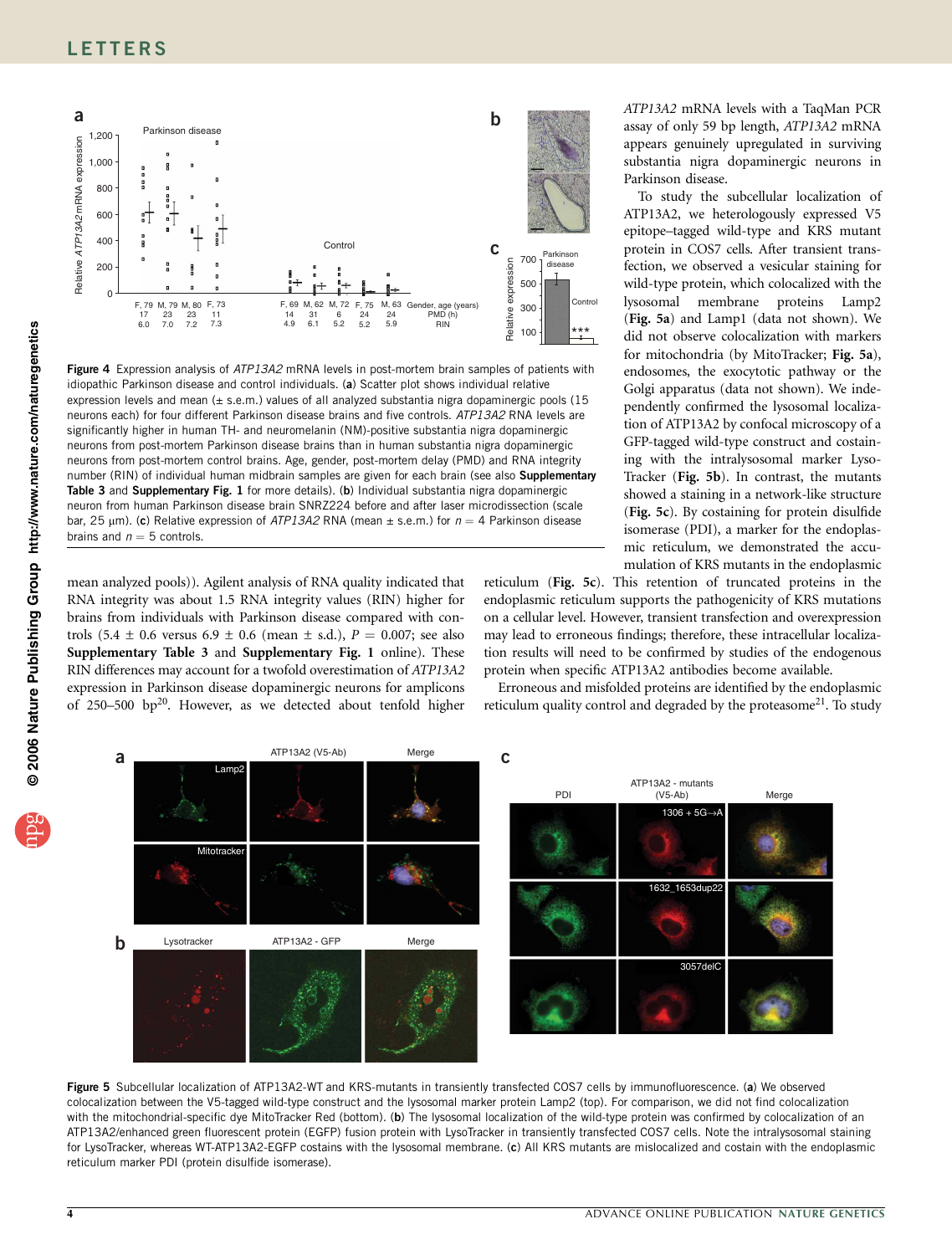

Figure 4 Expression analysis of ATP13A2 mRNA levels in post-mortem brain samples of patients with idiopathic Parkinson disease and control individuals. (a) Scatter plot shows individual relative expression levels and mean  $(\pm \text{ s.e.} \text{m.})$  values of all analyzed substantia nigra dopaminergic pools (15 neurons each) for four different Parkinson disease brains and five controls. ATP13A2 RNA levels are significantly higher in human TH- and neuromelanin (NM)-positive substantia nigra dopaminergic neurons from post-mortem Parkinson disease brains than in human substantia nigra dopaminergic neurons from post-mortem control brains. Age, gender, post-mortem delay (PMD) and RNA integrity number (RIN) of individual human midbrain samples are given for each brain (see also Supplementary Table 3 and Supplementary Fig. 1 for more details). (b) Individual substantia nigra dopaminergic neuron from human Parkinson disease brain SNRZ224 before and after laser microdissection (scale bar, 25  $\mu$ m). (c) Relative expression of ATP13A2 RNA (mean  $\pm$  s.e.m.) for  $n = 4$  Parkinson disease brains and  $n = 5$  controls.

mean analyzed pools)). Agilent analysis of RNA quality indicated that RNA integrity was about 1.5 RNA integrity values (RIN) higher for brains from individuals with Parkinson disease compared with controls (5.4  $\pm$  0.6 versus 6.9  $\pm$  0.6 (mean  $\pm$  s.d.),  $P = 0.007$ ; see also Supplementary Table 3 and Supplementary Fig. 1 online). These RIN differences may account for a twofold overestimation of ATP13A2 expression in Parkinson disease dopaminergic neurons for amplicons of 250–500 bp<sup>20</sup>. However, as we detected about tenfold higher ATP13A2 mRNA levels with a TaqMan PCR assay of only 59 bp length, ATP13A2 mRNA appears genuinely upregulated in surviving substantia nigra dopaminergic neurons in Parkinson disease.

To study the subcellular localization of ATP13A2, we heterologously expressed V5 epitope–tagged wild-type and KRS mutant protein in COS7 cells. After transient transfection, we observed a vesicular staining for wild-type protein, which colocalized with the lysosomal membrane proteins Lamp2 (Fig. 5a) and Lamp1 (data not shown). We did not observe colocalization with markers for mitochondria (by MitoTracker; Fig. 5a), endosomes, the exocytotic pathway or the Golgi apparatus (data not shown). We independently confirmed the lysosomal localization of ATP13A2 by confocal microscopy of a GFP-tagged wild-type construct and costaining with the intralysosomal marker Lyso-Tracker (Fig. 5b). In contrast, the mutants showed a staining in a network-like structure (Fig. 5c). By costaining for protein disulfide isomerase (PDI), a marker for the endoplasmic reticulum, we demonstrated the accumulation of KRS mutants in the endoplasmic

reticulum (Fig. 5c). This retention of truncated proteins in the endoplasmic reticulum supports the pathogenicity of KRS mutations on a cellular level. However, transient transfection and overexpression may lead to erroneous findings; therefore, these intracellular localization results will need to be confirmed by studies of the endogenous protein when specific ATP13A2 antibodies become available.

Erroneous and misfolded proteins are identified by the endoplasmic reticulum quality control and degraded by the proteasome<sup>21</sup>. To study



Figure 5 Subcellular localization of ATP13A2-WT and KRS-mutants in transiently transfected COS7 cells by immunofluorescence. (a) We observed colocalization between the V5-tagged wild-type construct and the lysosomal marker protein Lamp2 (top). For comparison, we did not find colocalization with the mitochondrial-specific dye MitoTracker Red (bottom). (b) The lysosomal localization of the wild-type protein was confirmed by colocalization of an ATP13A2/enhanced green fluorescent protein (EGFP) fusion protein with LysoTracker in transiently transfected COS7 cells. Note the intralysosomal staining for LysoTracker, whereas WT-ATP13A2-EGFP costains with the lysosomal membrane. (c) All KRS mutants are mislocalized and costain with the endoplasmic reticulum marker PDI (protein disulfide isomerase).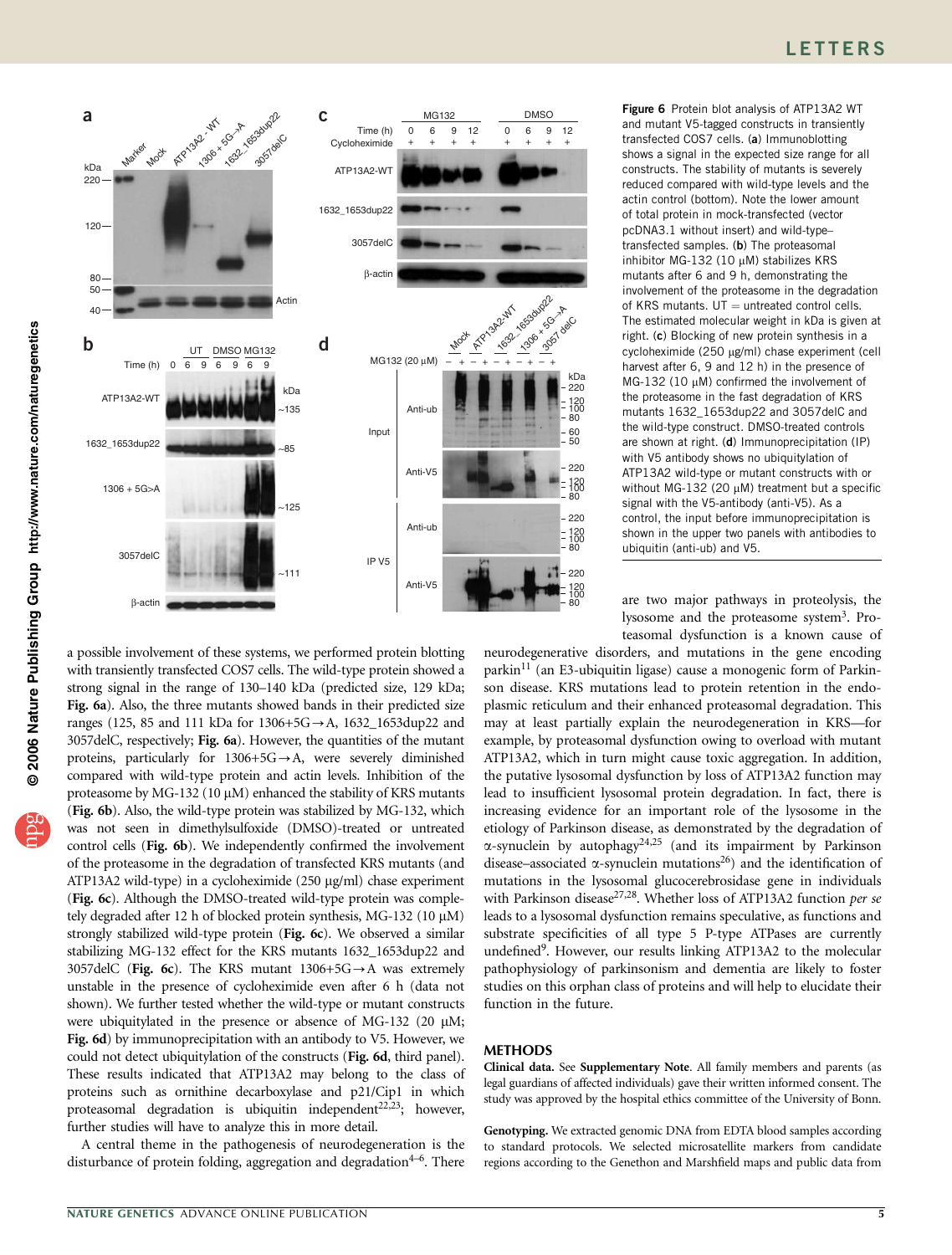

a possible involvement of these systems, we performed protein blotting with transiently transfected COS7 cells. The wild-type protein showed a strong signal in the range of 130–140 kDa (predicted size, 129 kDa; Fig. 6a). Also, the three mutants showed bands in their predicted size ranges (125, 85 and 111 kDa for  $1306+5G \rightarrow A$ ,  $1632\_1653dup22$  and 3057delC, respectively; Fig. 6a). However, the quantities of the mutant proteins, particularly for  $1306+5G \rightarrow A$ , were severely diminished compared with wild-type protein and actin levels. Inhibition of the proteasome by MG-132 (10  $\mu$ M) enhanced the stability of KRS mutants (Fig. 6b). Also, the wild-type protein was stabilized by MG-132, which was not seen in dimethylsulfoxide (DMSO)-treated or untreated control cells (Fig. 6b). We independently confirmed the involvement of the proteasome in the degradation of transfected KRS mutants (and ATP13A2 wild-type) in a cycloheximide (250 µg/ml) chase experiment (Fig. 6c). Although the DMSO-treated wild-type protein was completely degraded after 12 h of blocked protein synthesis, MG-132 (10  $\mu$ M) strongly stabilized wild-type protein (Fig. 6c). We observed a similar stabilizing MG-132 effect for the KRS mutants 1632\_1653dup22 and 3057delC (Fig. 6c). The KRS mutant  $1306+5G \rightarrow A$  was extremely unstable in the presence of cycloheximide even after 6 h (data not shown). We further tested whether the wild-type or mutant constructs were ubiquitylated in the presence or absence of MG-132 (20 µM; Fig. 6d) by immunoprecipitation with an antibody to V5. However, we could not detect ubiquitylation of the constructs (Fig. 6d, third panel). These results indicated that ATP13A2 may belong to the class of proteins such as ornithine decarboxylase and p21/Cip1 in which proteasomal degradation is ubiquitin independent<sup>22,23</sup>; however, further studies will have to analyze this in more detail.

A central theme in the pathogenesis of neurodegeneration is the disturbance of protein folding, aggregation and degradation<sup> $4-6$ </sup>. There Figure 6 Protein blot analysis of ATP13A2 WT and mutant V5-tagged constructs in transiently transfected COS7 cells. (a) Immunoblotting shows a signal in the expected size range for all constructs. The stability of mutants is severely reduced compared with wild-type levels and the actin control (bottom). Note the lower amount of total protein in mock-transfected (vector pcDNA3.1 without insert) and wild-type– transfected samples. (b) The proteasomal inhibitor MG-132 (10  $\mu$ M) stabilizes KRS mutants after 6 and 9 h, demonstrating the involvement of the proteasome in the degradation of KRS mutants.  $UT =$  untreated control cells. The estimated molecular weight in kDa is given at right. (c) Blocking of new protein synthesis in a cycloheximide (250 μg/ml) chase experiment (cell harvest after 6, 9 and 12 h) in the presence of MG-132 (10  $\mu$ M) confirmed the involvement of the proteasome in the fast degradation of KRS mutants 1632\_1653dup22 and 3057delC and the wild-type construct. DMSO-treated controls are shown at right. (d) Immunoprecipitation (IP) with V5 antibody shows no ubiquitylation of ATP13A2 wild-type or mutant constructs with or without MG-132 (20  $\mu$ M) treatment but a specific signal with the V5-antibody (anti-V5). As a control, the input before immunoprecipitation is shown in the upper two panels with antibodies to ubiquitin (anti-ub) and V5.

are two major pathways in proteolysis, the lysosome and the proteasome system<sup>3</sup>. Proteasomal dysfunction is a known cause of

neurodegenerative disorders, and mutations in the gene encoding parkin<sup>11</sup> (an E3-ubiquitin ligase) cause a monogenic form of Parkinson disease. KRS mutations lead to protein retention in the endoplasmic reticulum and their enhanced proteasomal degradation. This may at least partially explain the neurodegeneration in KRS—for example, by proteasomal dysfunction owing to overload with mutant ATP13A2, which in turn might cause toxic aggregation. In addition, the putative lysosomal dysfunction by loss of ATP13A2 function may lead to insufficient lysosomal protein degradation. In fact, there is increasing evidence for an important role of the lysosome in the etiology of Parkinson disease, as demonstrated by the degradation of  $\alpha$ -synuclein by autophagy<sup>24,25</sup> (and its impairment by Parkinson disease–associated  $\alpha$ -synuclein mutations<sup>26</sup>) and the identification of mutations in the lysosomal glucocerebrosidase gene in individuals with Parkinson disease<sup>27,28</sup>. Whether loss of ATP13A2 function per se leads to a lysosomal dysfunction remains speculative, as functions and substrate specificities of all type 5 P-type ATPases are currently undefined<sup>9</sup>. However, our results linking ATP13A2 to the molecular pathophysiology of parkinsonism and dementia are likely to foster studies on this orphan class of proteins and will help to elucidate their function in the future.

## METHODS

Clinical data. See Supplementary Note. All family members and parents (as legal guardians of affected individuals) gave their written informed consent. The study was approved by the hospital ethics committee of the University of Bonn.

Genotyping. We extracted genomic DNA from EDTA blood samples according to standard protocols. We selected microsatellite markers from candidate regions according to the Genethon and Marshfield maps and public data from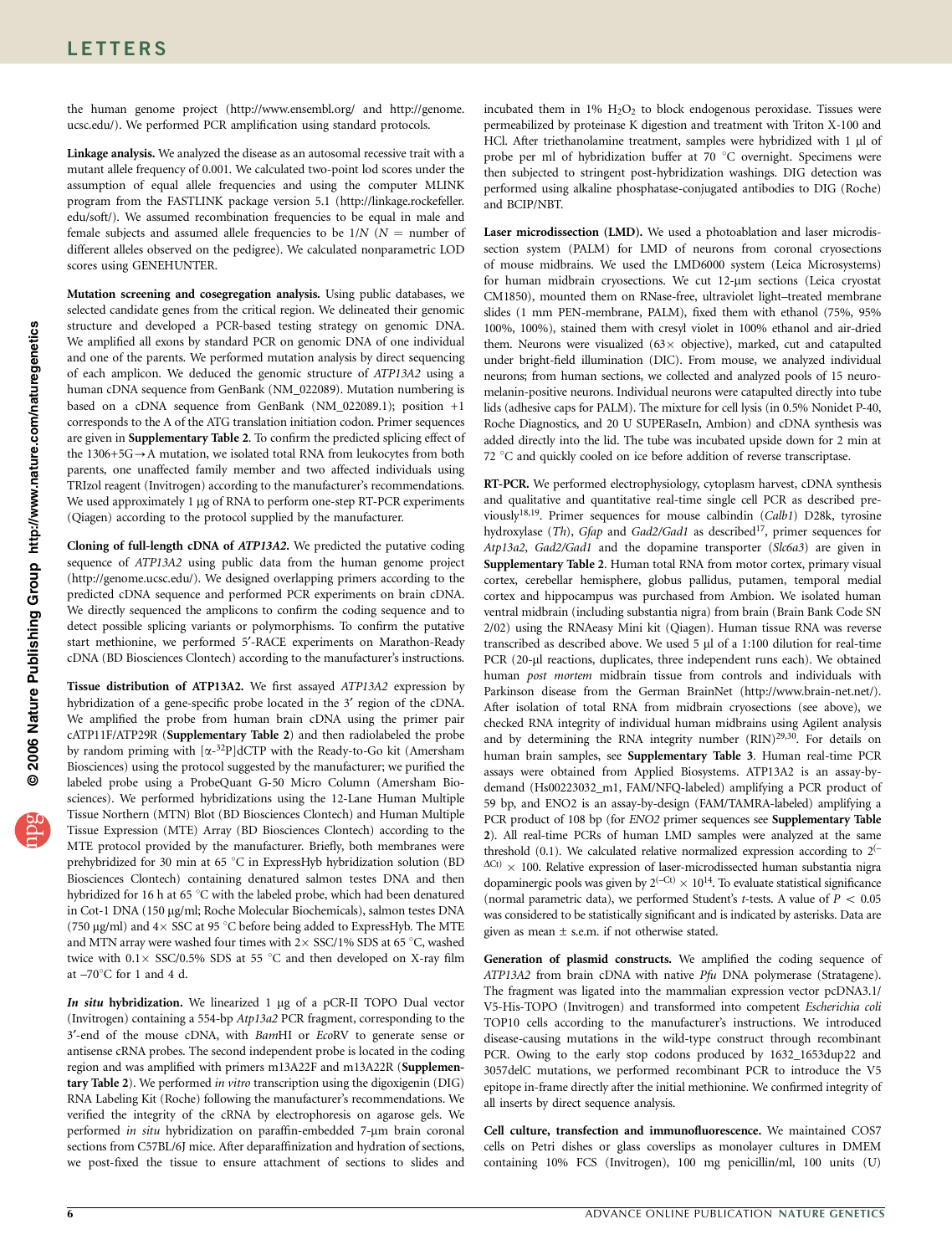the human genome project (http://www.ensembl.org/ and http://genome. ucsc.edu/). We performed PCR amplification using standard protocols.

Linkage analysis. We analyzed the disease as an autosomal recessive trait with a mutant allele frequency of 0.001. We calculated two-point lod scores under the assumption of equal allele frequencies and using the computer MLINK program from the FASTLINK package version 5.1 (http://linkage.rockefeller. edu/soft/). We assumed recombination frequencies to be equal in male and female subjects and assumed allele frequencies to be  $1/N$  ( $N =$  number of different alleles observed on the pedigree). We calculated nonparametric LOD scores using GENEHUNTER.

Mutation screening and cosegregation analysis. Using public databases, we selected candidate genes from the critical region. We delineated their genomic structure and developed a PCR-based testing strategy on genomic DNA. We amplified all exons by standard PCR on genomic DNA of one individual and one of the parents. We performed mutation analysis by direct sequencing of each amplicon. We deduced the genomic structure of ATP13A2 using a human cDNA sequence from GenBank (NM\_022089). Mutation numbering is based on a cDNA sequence from GenBank (NM\_022089.1); position +1 corresponds to the A of the ATG translation initiation codon. Primer sequences are given in Supplementary Table 2. To confirm the predicted splicing effect of the  $1306+5G \rightarrow A$  mutation, we isolated total RNA from leukocytes from both parents, one unaffected family member and two affected individuals using TRIzol reagent (Invitrogen) according to the manufacturer's recommendations. We used approximately 1 µg of RNA to perform one-step RT-PCR experiments (Qiagen) according to the protocol supplied by the manufacturer.

Cloning of full-length cDNA of ATP13A2. We predicted the putative coding sequence of ATP13A2 using public data from the human genome project (http://genome.ucsc.edu/). We designed overlapping primers according to the predicted cDNA sequence and performed PCR experiments on brain cDNA. We directly sequenced the amplicons to confirm the coding sequence and to detect possible splicing variants or polymorphisms. To confirm the putative start methionine, we performed 5'-RACE experiments on Marathon-Ready cDNA (BD Biosciences Clontech) according to the manufacturer's instructions.

Tissue distribution of ATP13A2. We first assayed ATP13A2 expression by hybridization of a gene-specific probe located in the 3' region of the cDNA. We amplified the probe from human brain cDNA using the primer pair cATP11F/ATP29R (Supplementary Table 2) and then radiolabeled the probe by random priming with  $[\alpha^{-32}P]$ dCTP with the Ready-to-Go kit (Amersham Biosciences) using the protocol suggested by the manufacturer; we purified the labeled probe using a ProbeQuant G-50 Micro Column (Amersham Biosciences). We performed hybridizations using the 12-Lane Human Multiple Tissue Northern (MTN) Blot (BD Biosciences Clontech) and Human Multiple Tissue Expression (MTE) Array (BD Biosciences Clontech) according to the MTE protocol provided by the manufacturer. Briefly, both membranes were prehybridized for 30 min at 65 °C in ExpressHyb hybridization solution (BD Biosciences Clontech) containing denatured salmon testes DNA and then hybridized for 16 h at 65 °C with the labeled probe, which had been denatured in Cot-1 DNA (150 µg/ml; Roche Molecular Biochemicals), salmon testes DNA (750 µg/ml) and  $4 \times$  SSC at 95 °C before being added to ExpressHyb. The MTE and MTN array were washed four times with  $2 \times$  SSC/1% SDS at 65 °C, washed twice with  $0.1 \times$  SSC/0.5% SDS at 55 °C and then developed on X-ray film at  $-70^{\circ}$ C for 1 and 4 d.

In situ hybridization. We linearized  $1 \mu$ g of a pCR-II TOPO Dual vector (Invitrogen) containing a 554-bp Atp13a2 PCR fragment, corresponding to the 3'-end of the mouse cDNA, with BamHI or EcoRV to generate sense or antisense cRNA probes. The second independent probe is located in the coding region and was amplified with primers m13A22F and m13A22R (Supplementary Table 2). We performed in vitro transcription using the digoxigenin (DIG) RNA Labeling Kit (Roche) following the manufacturer's recommendations. We verified the integrity of the cRNA by electrophoresis on agarose gels. We performed in situ hybridization on paraffin-embedded 7-µm brain coronal sections from C57BL/6J mice. After deparaffinization and hydration of sections, we post-fixed the tissue to ensure attachment of sections to slides and

incubated them in  $1\%$  H<sub>2</sub>O<sub>2</sub> to block endogenous peroxidase. Tissues were permeabilized by proteinase K digestion and treatment with Triton X-100 and HCl. After triethanolamine treatment, samples were hybridized with  $1 \mu l$  of probe per ml of hybridization buffer at 70 °C overnight. Specimens were then subjected to stringent post-hybridization washings. DIG detection was performed using alkaline phosphatase-conjugated antibodies to DIG (Roche) and BCIP/NBT.

Laser microdissection (LMD). We used a photoablation and laser microdissection system (PALM) for LMD of neurons from coronal cryosections of mouse midbrains. We used the LMD6000 system (Leica Microsystems) for human midbrain cryosections. We cut 12-um sections (Leica cryostat CM1850), mounted them on RNase-free, ultraviolet light–treated membrane slides (1 mm PEN-membrane, PALM), fixed them with ethanol (75%, 95% 100%, 100%), stained them with cresyl violet in 100% ethanol and air-dried them. Neurons were visualized  $(63 \times$  objective), marked, cut and catapulted under bright-field illumination (DIC). From mouse, we analyzed individual neurons; from human sections, we collected and analyzed pools of 15 neuromelanin-positive neurons. Individual neurons were catapulted directly into tube lids (adhesive caps for PALM). The mixture for cell lysis (in 0.5% Nonidet P-40, Roche Diagnostics, and 20 U SUPERaseIn, Ambion) and cDNA synthesis was added directly into the lid. The tube was incubated upside down for 2 min at 72 °C and quickly cooled on ice before addition of reverse transcriptase.

RT-PCR. We performed electrophysiology, cytoplasm harvest, cDNA synthesis and qualitative and quantitative real-time single cell PCR as described previously<sup>18,19</sup>. Primer sequences for mouse calbindin (Calb1) D28k, tyrosine hydroxylase (Th), Gfap and Gad2/Gad1 as described<sup>17</sup>, primer sequences for Atp13a2, Gad2/Gad1 and the dopamine transporter (Slc6a3) are given in Supplementary Table 2. Human total RNA from motor cortex, primary visual cortex, cerebellar hemisphere, globus pallidus, putamen, temporal medial cortex and hippocampus was purchased from Ambion. We isolated human ventral midbrain (including substantia nigra) from brain (Brain Bank Code SN 2/02) using the RNAeasy Mini kit (Qiagen). Human tissue RNA was reverse transcribed as described above. We used  $5 \mu$ l of a 1:100 dilution for real-time PCR (20-µl reactions, duplicates, three independent runs each). We obtained human post mortem midbrain tissue from controls and individuals with Parkinson disease from the German BrainNet (http://www.brain-net.net/). After isolation of total RNA from midbrain cryosections (see above), we checked RNA integrity of individual human midbrains using Agilent analysis and by determining the RNA integrity number (RIN)<sup>29,30</sup>. For details on human brain samples, see Supplementary Table 3. Human real-time PCR assays were obtained from Applied Biosystems. ATP13A2 is an assay-bydemand (Hs00223032\_m1, FAM/NFQ-labeled) amplifying a PCR product of 59 bp, and ENO2 is an assay-by-design (FAM/TAMRA-labeled) amplifying a PCR product of 108 bp (for ENO2 primer sequences see Supplementary Table 2). All real-time PCRs of human LMD samples were analyzed at the same threshold (0.1). We calculated relative normalized expression according to  $2^{(-)}$  $\Delta$ Ct)  $\times$  100. Relative expression of laser-microdissected human substantia nigra dopaminergic pools was given by  $2^{(-Ct)} \times 10^{14}$ . To evaluate statistical significance (normal parametric data), we performed Student's *t*-tests. A value of  $P < 0.05$ was considered to be statistically significant and is indicated by asterisks. Data are given as mean  $\pm$  s.e.m. if not otherwise stated.

Generation of plasmid constructs. We amplified the coding sequence of ATP13A2 from brain cDNA with native Pfu DNA polymerase (Stratagene). The fragment was ligated into the mammalian expression vector pcDNA3.1/ V5-His-TOPO (Invitrogen) and transformed into competent Escherichia coli TOP10 cells according to the manufacturer's instructions. We introduced disease-causing mutations in the wild-type construct through recombinant PCR. Owing to the early stop codons produced by 1632\_1653dup22 and 3057delC mutations, we performed recombinant PCR to introduce the V5 epitope in-frame directly after the initial methionine. We confirmed integrity of all inserts by direct sequence analysis.

Cell culture, transfection and immunofluorescence. We maintained COS7 cells on Petri dishes or glass coverslips as monolayer cultures in DMEM containing 10% FCS (Invitrogen), 100 mg penicillin/ml, 100 units (U)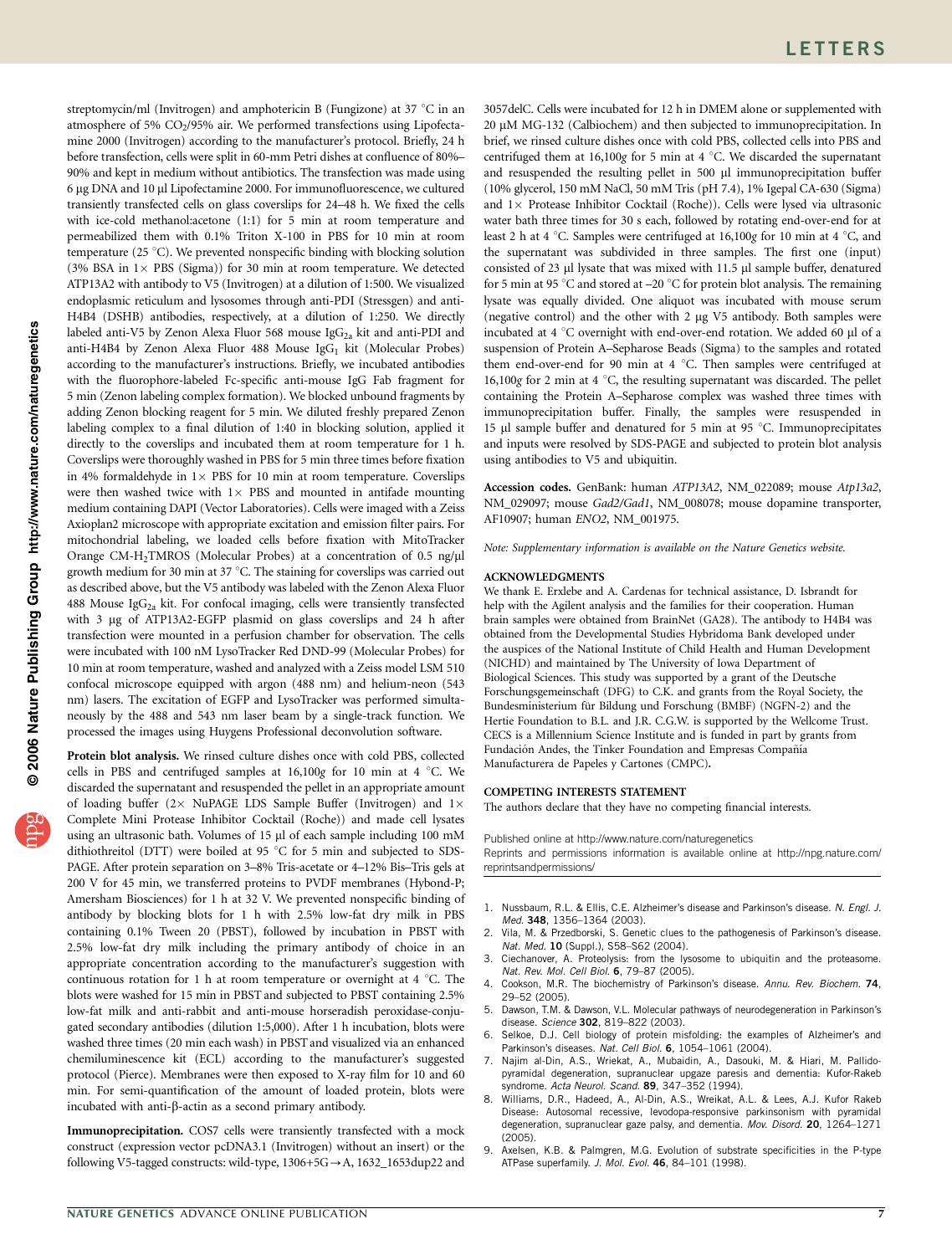streptomycin/ml (Invitrogen) and amphotericin B (Fungizone) at 37  $\degree$ C in an atmosphere of 5% CO<sub>2</sub>/95% air. We performed transfections using Lipofectamine 2000 (Invitrogen) according to the manufacturer's protocol. Briefly, 24 h before transfection, cells were split in 60-mm Petri dishes at confluence of 80%– 90% and kept in medium without antibiotics. The transfection was made using 6 mg DNA and 10 ml Lipofectamine 2000. For immunofluorescence, we cultured transiently transfected cells on glass coverslips for 24–48 h. We fixed the cells with ice-cold methanol:acetone (1:1) for 5 min at room temperature and permeabilized them with 0.1% Triton X-100 in PBS for 10 min at room temperature (25 $\degree$ C). We prevented nonspecific binding with blocking solution (3% BSA in  $1 \times$  PBS (Sigma)) for 30 min at room temperature. We detected ATP13A2 with antibody to V5 (Invitrogen) at a dilution of 1:500. We visualized endoplasmic reticulum and lysosomes through anti-PDI (Stressgen) and anti-H4B4 (DSHB) antibodies, respectively, at a dilution of 1:250. We directly labeled anti-V5 by Zenon Alexa Fluor 568 mouse  $\text{IgG}_{2a}$  kit and anti-PDI and anti-H4B4 by Zenon Alexa Fluor 488 Mouse Ig $G_1$  kit (Molecular Probes) according to the manufacturer's instructions. Briefly, we incubated antibodies with the fluorophore-labeled Fc-specific anti-mouse IgG Fab fragment for 5 min (Zenon labeling complex formation). We blocked unbound fragments by adding Zenon blocking reagent for 5 min. We diluted freshly prepared Zenon labeling complex to a final dilution of 1:40 in blocking solution, applied it directly to the coverslips and incubated them at room temperature for 1 h. Coverslips were thoroughly washed in PBS for 5 min three times before fixation in 4% formaldehyde in  $1 \times$  PBS for 10 min at room temperature. Coverslips were then washed twice with  $1 \times$  PBS and mounted in antifade mounting medium containing DAPI (Vector Laboratories). Cells were imaged with a Zeiss Axioplan2 microscope with appropriate excitation and emission filter pairs. For mitochondrial labeling, we loaded cells before fixation with MitoTracker Orange CM-H<sub>2</sub>TMROS (Molecular Probes) at a concentration of 0.5 ng/µl growth medium for 30 min at 37  $^{\circ}$ C. The staining for coverslips was carried out as described above, but the V5 antibody was labeled with the Zenon Alexa Fluor 488 Mouse Ig $G_{2a}$  kit. For confocal imaging, cells were transiently transfected with 3 µg of ATP13A2-EGFP plasmid on glass coverslips and 24 h after transfection were mounted in a perfusion chamber for observation. The cells were incubated with 100 nM LysoTracker Red DND-99 (Molecular Probes) for 10 min at room temperature, washed and analyzed with a Zeiss model LSM 510 confocal microscope equipped with argon (488 nm) and helium-neon (543 nm) lasers. The excitation of EGFP and LysoTracker was performed simultaneously by the 488 and 543 nm laser beam by a single-track function. We processed the images using Huygens Professional deconvolution software.

Protein blot analysis. We rinsed culture dishes once with cold PBS, collected cells in PBS and centrifuged samples at  $16,100g$  for  $10$  min at  $4 °C$ . We discarded the supernatant and resuspended the pellet in an appropriate amount of loading buffer (2 $\times$  NuPAGE LDS Sample Buffer (Invitrogen) and 1 $\times$ Complete Mini Protease Inhibitor Cocktail (Roche)) and made cell lysates using an ultrasonic bath. Volumes of 15 µl of each sample including 100 mM dithiothreitol (DTT) were boiled at 95  $^{\circ}$ C for 5 min and subjected to SDS-PAGE. After protein separation on 3–8% Tris-acetate or 4–12% Bis–Tris gels at 200 V for 45 min, we transferred proteins to PVDF membranes (Hybond-P; Amersham Biosciences) for 1 h at 32 V. We prevented nonspecific binding of antibody by blocking blots for 1 h with 2.5% low-fat dry milk in PBS containing 0.1% Tween 20 (PBST), followed by incubation in PBST with 2.5% low-fat dry milk including the primary antibody of choice in an appropriate concentration according to the manufacturer's suggestion with continuous rotation for 1 h at room temperature or overnight at 4  $^{\circ}$ C. The blots were washed for 15 min in PBST and subjected to PBST containing 2.5% low-fat milk and anti-rabbit and anti-mouse horseradish peroxidase-conjugated secondary antibodies (dilution 1:5,000). After 1 h incubation, blots were washed three times (20 min each wash) in PBST and visualized via an enhanced chemiluminescence kit (ECL) according to the manufacturer's suggested protocol (Pierce). Membranes were then exposed to X-ray film for 10 and 60 min. For semi-quantification of the amount of loaded protein, blots were incubated with anti-b-actin as a second primary antibody.

Immunoprecipitation. COS7 cells were transiently transfected with a mock construct (expression vector pcDNA3.1 (Invitrogen) without an insert) or the following V5-tagged constructs: wild-type,  $1306+5G \rightarrow A$ ,  $1632\_1653d$ up22 and

3057delC. Cells were incubated for 12 h in DMEM alone or supplemented with 20 µM MG-132 (Calbiochem) and then subjected to immunoprecipitation. In brief, we rinsed culture dishes once with cold PBS, collected cells into PBS and centrifuged them at  $16,100g$  for 5 min at 4 °C. We discarded the supernatant and resuspended the resulting pellet in 500 µl immunoprecipitation buffer (10% glycerol, 150 mM NaCl, 50 mM Tris (pH 7.4), 1% Igepal CA-630 (Sigma) and  $1 \times$  Protease Inhibitor Cocktail (Roche)). Cells were lysed via ultrasonic water bath three times for 30 s each, followed by rotating end-over-end for at least 2 h at 4 °C. Samples were centrifuged at 16,100g for 10 min at 4 °C, and the supernatant was subdivided in three samples. The first one (input) consisted of 23 µl lysate that was mixed with 11.5 µl sample buffer, denatured for 5 min at 95  $\degree$ C and stored at –20  $\degree$ C for protein blot analysis. The remaining lysate was equally divided. One aliquot was incubated with mouse serum (negative control) and the other with  $2 \mu g V5$  antibody. Both samples were incubated at 4  $\degree$ C overnight with end-over-end rotation. We added 60  $\mu$ l of a suspension of Protein A–Sepharose Beads (Sigma) to the samples and rotated them end-over-end for 90 min at 4  $^{\circ}$ C. Then samples were centrifuged at 16,100g for 2 min at 4  $\degree$ C, the resulting supernatant was discarded. The pellet containing the Protein A–Sepharose complex was washed three times with immunoprecipitation buffer. Finally, the samples were resuspended in 15 µl sample buffer and denatured for 5 min at 95 °C. Immunoprecipitates and inputs were resolved by SDS-PAGE and subjected to protein blot analysis using antibodies to V5 and ubiquitin.

Accession codes. GenBank: human ATP13A2, NM\_022089; mouse Atp13a2, NM\_029097; mouse Gad2/Gad1, NM\_008078; mouse dopamine transporter, AF10907; human ENO2, NM\_001975.

Note: Supplementary information is available on the Nature Genetics website.

#### ACKNOWLEDGMENTS

We thank E. Erxlebe and A. Cardenas for technical assistance, D. Isbrandt for help with the Agilent analysis and the families for their cooperation. Human brain samples were obtained from BrainNet (GA28). The antibody to H4B4 was obtained from the Developmental Studies Hybridoma Bank developed under the auspices of the National Institute of Child Health and Human Development (NICHD) and maintained by The University of Iowa Department of Biological Sciences. This study was supported by a grant of the Deutsche Forschungsgemeinschaft (DFG) to C.K. and grants from the Royal Society, the Bundesministerium für Bildung und Forschung (BMBF) (NGFN-2) and the Hertie Foundation to B.L. and J.R. C.G.W. is supported by the Wellcome Trust. CECS is a Millennium Science Institute and is funded in part by grants from Fundación Andes, the Tinker Foundation and Empresas Compañía Manufacturera de Papeles y Cartones (CMPC).

### COMPETING INTERESTS STATEMENT

The authors declare that they have no competing financial interests.

Published online at http://www.nature.com/naturegenetics

Reprints and permissions information is available online at http://npg.nature.com/ reprintsandpermissions/

- 1. Nussbaum, R.L. & Ellis, C.E. Alzheimer's disease and Parkinson's disease. N. Engl. J. Med. 348, 1356–1364 (2003).
- 2. Vila, M. & Przedborski, S. Genetic clues to the pathogenesis of Parkinson's disease. Nat. Med. 10 (Suppl.), S58–S62 (2004).
- 3. Ciechanover, A. Proteolysis: from the lysosome to ubiquitin and the proteasome. Nat. Rev. Mol. Cell Biol. 6, 79–87 (2005).
- 4. Cookson, M.R. The biochemistry of Parkinson's disease. Annu. Rev. Biochem. 74, 29–52 (2005).
- 5. Dawson, T.M. & Dawson, V.L. Molecular pathways of neurodegeneration in Parkinson's disease. Science 302, 819–822 (2003).
- Selkoe, D.J. Cell biology of protein misfolding: the examples of Alzheimer's and Parkinson's diseases. Nat. Cell Biol. 6, 1054–1061 (2004).
- 7. Najim al-Din, A.S., Wriekat, A., Mubaidin, A., Dasouki, M. & Hiari, M. Pallidopyramidal degeneration, supranuclear upgaze paresis and dementia: Kufor-Rakeb syndrome. Acta Neurol. Scand. 89, 347-352 (1994).
- 8. Williams, D.R., Hadeed, A., Al-Din, A.S., Wreikat, A.L. & Lees, A.J. Kufor Rakeb Disease: Autosomal recessive, levodopa-responsive parkinsonism with pyramidal degeneration, supranuclear gaze palsy, and dementia. Mov. Disord. 20, 1264–1271 (2005).
- 9. Axelsen, K.B. & Palmgren, M.G. Evolution of substrate specificities in the P-type ATPase superfamily. J. Mol. Evol. 46, 84-101 (1998).